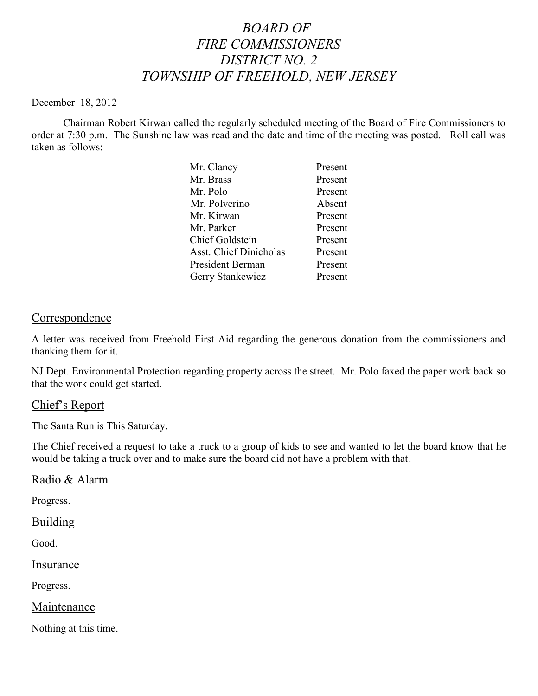# *BOARD OF FIRE COMMISSIONERS DISTRICT NO. 2 TOWNSHIP OF FREEHOLD, NEW JERSEY*

#### December 18, 2012

Chairman Robert Kirwan called the regularly scheduled meeting of the Board of Fire Commissioners to order at 7:30 p.m. The Sunshine law was read and the date and time of the meeting was posted. Roll call was taken as follows:

| Mr. Clancy                    | Present |
|-------------------------------|---------|
| Mr. Brass                     | Present |
| Mr. Polo                      | Present |
| Mr. Polverino                 | Absent  |
| Mr. Kirwan                    | Present |
| Mr. Parker                    | Present |
| <b>Chief Goldstein</b>        | Present |
| <b>Asst. Chief Dinicholas</b> | Present |
| President Berman              | Present |
| Gerry Stankewicz              | Present |
|                               |         |

## **Correspondence**

A letter was received from Freehold First Aid regarding the generous donation from the commissioners and thanking them for it.

NJ Dept. Environmental Protection regarding property across the street. Mr. Polo faxed the paper work back so that the work could get started.

### Chief's Report

The Santa Run is This Saturday.

The Chief received a request to take a truck to a group of kids to see and wanted to let the board know that he would be taking a truck over and to make sure the board did not have a problem with that.

### Radio & Alarm

Progress.

#### Building

Good.

### **Insurance**

Progress.

### Maintenance

Nothing at this time.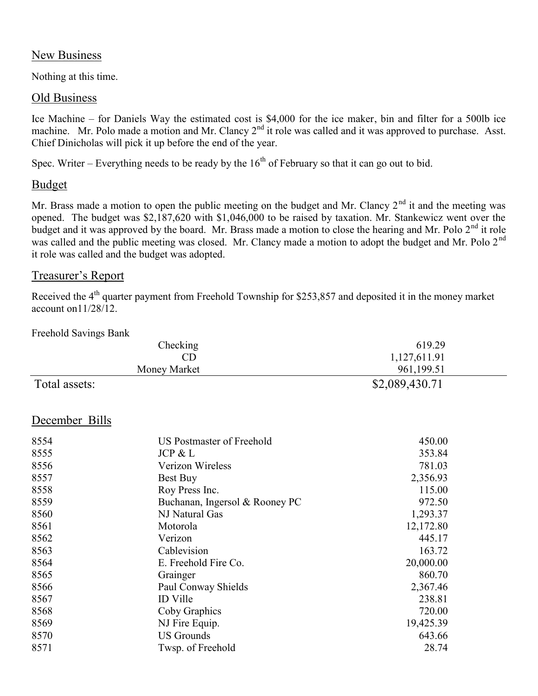## New Business

Nothing at this time.

## Old Business

Ice Machine – for Daniels Way the estimated cost is \$4,000 for the ice maker, bin and filter for a 500lb ice machine. Mr. Polo made a motion and Mr. Clancy  $2<sup>nd</sup>$  it role was called and it was approved to purchase. Asst. Chief Dinicholas will pick it up before the end of the year.

Spec. Writer – Everything needs to be ready by the  $16<sup>th</sup>$  of February so that it can go out to bid.

## Budget

Mr. Brass made a motion to open the public meeting on the budget and Mr. Clancy  $2<sup>nd</sup>$  it and the meeting was opened. The budget was \$2,187,620 with \$1,046,000 to be raised by taxation. Mr. Stankewicz went over the budget and it was approved by the board. Mr. Brass made a motion to close the hearing and Mr. Polo  $2<sup>nd</sup>$  it role was called and the public meeting was closed. Mr. Clancy made a motion to adopt the budget and Mr. Polo 2<sup>nd</sup> it role was called and the budget was adopted.

## Treasurer's Report

Received the 4<sup>th</sup> quarter payment from Freehold Township for \$253,857 and deposited it in the money market account on11/28/12.

Freehold Savings Bank

| Checking       |                                | 619.29         |  |
|----------------|--------------------------------|----------------|--|
|                | CD                             | 1,127,611.91   |  |
|                | Money Market                   | 961,199.51     |  |
| Total assets:  |                                | \$2,089,430.71 |  |
| December Bills |                                |                |  |
| 8554           | US Postmaster of Freehold      | 450.00         |  |
| 8555           | JCP & L                        | 353.84         |  |
| 8556           | Verizon Wireless               | 781.03         |  |
| 8557           | Best Buy                       | 2,356.93       |  |
| 8558           | Roy Press Inc.                 | 115.00         |  |
| 8559           | Buchanan, Ingersol & Rooney PC | 972.50         |  |
| 8560           | NJ Natural Gas                 | 1,293.37       |  |
| 8561           | Motorola                       | 12,172.80      |  |
| 8562           | Verizon                        | 445.17         |  |
| 8563           | Cablevision                    | 163.72         |  |
| 8564           | E. Freehold Fire Co.           | 20,000.00      |  |
| 8565           | Grainger                       | 860.70         |  |
| 8566           | Paul Conway Shields            | 2,367.46       |  |
| 8567           | <b>ID</b> Ville                | 238.81         |  |
| 8568           | Coby Graphics                  | 720.00         |  |
| 8569           | NJ Fire Equip.                 | 19,425.39      |  |
| 8570           | <b>US Grounds</b>              | 643.66         |  |
| 8571           | Twsp. of Freehold              | 28.74          |  |